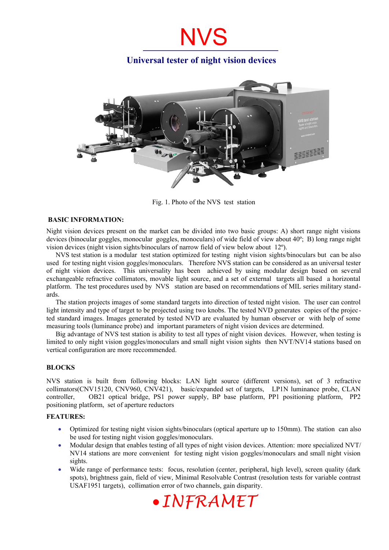## **Universal tester of night vision devices**



Fig. 1. Photo of the NVS test station

#### **BASIC INFORMATION:**

Night vision devices present on the market can be divided into two basic groups: A) short range night visions devices (binocular goggles, monocular goggles, monoculars) of wide field of view about 40º; B) long range night vision devices (night vision sights/binoculars of narrow field of view below about 12º).

NVS test station is a modular test station optimized for testing night vision sights/binoculars but can be also used for testing night vision goggles/monoculars. Therefore NVS station can be considered as an universal tester of night vision devices. This universality has been achieved by using modular design based on several exchangeable refractive collimators, movable light source, and a set of external targets all based a horizontal platform. The test procedures used by NVS station are based on recommendations of MIL series military standards.

The station projects images of some standard targets into direction of tested night vision. The user can control light intensity and type of target to be projected using two knobs. The tested NVD generates copies of the projected standard images. Images generated by tested NVD are evaluated by human observer or with help of some measuring tools (luminance probe) and important parameters of night vision devices are determined.

Big advantage of NVS test station is ability to test all types of night vision devices. However, when testing is limited to only night vision goggles/monoculars and small night vision sights then NVT/NV14 stations based on vertical configuration are more reccommended.

#### **BLOCKS**

NVS station is built from following blocks: LAN light source (different versions), set of 3 refractive collimators(CNV15120, CNV960, CNV421), basic/expanded set of targets, LP1N luminance probe, CLAN controller, OB21 optical bridge, PS1 power supply, BP base platform, PP1 positioning platform, PP2 positioning platform, set of aperture reductors

#### **FEATURES:**

- Optimized for testing night vision sights/binoculars (optical aperture up to 150mm). The station can also be used for testing night vision goggles/monoculars.
- Modular design that enables testing of all types of night vision devices. Attention: more specialized NVT/ NV14 stations are more convenient for testing night vision goggles/monoculars and small night vision sights.
- Wide range of performance tests: focus, resolution (center, peripheral, high level), screen quality (dark spots), brightness gain, field of view, Minimal Resolvable Contrast (resolution tests for variable contrast USAF1951 targets), collimation error of two channels, gain disparity.

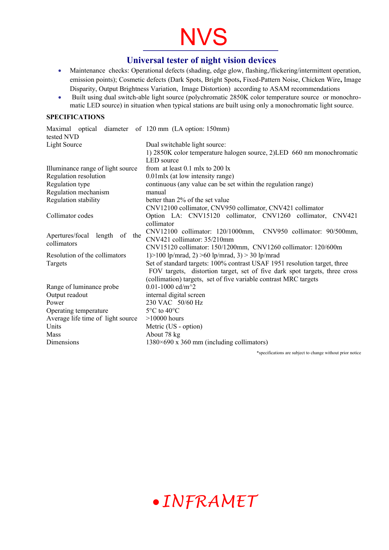### **Universal tester of night vision devices**

- Maintenance checks: Operational defects (shading, edge glow, flashing,/flickering/intermittent operation, emission points); Cosmetic defects (Dark Spots, Bright Spots**,** Fixed-Pattern Noise, Chicken Wire**,** Image Disparity, Output Brightness Variation, Image Distortion) according to ASAM recommendations
- Built using dual switch-able light source (polychromatic 2850K color temperature source or monochromatic LED source) in situation when typical stations are built using only a monochromatic light source.

#### **SPECIFICATIONS**

| Maximal optical diameter of 120 mm (LA option: 150mm)<br>tested NVD |                                                                            |  |
|---------------------------------------------------------------------|----------------------------------------------------------------------------|--|
| Light Source                                                        | Dual switchable light source:                                              |  |
|                                                                     | 1) 2850K color temperature halogen source, 2)LED 660 nm monochromatic      |  |
|                                                                     | <b>LED</b> source                                                          |  |
| Illuminance range of light source                                   | from at least $0.1$ mlx to $200$ lx                                        |  |
| Regulation resolution                                               | 0.01 mlx (at low intensity range)                                          |  |
| Regulation type                                                     | continuous (any value can be set within the regulation range)              |  |
| Regulation mechanism                                                | manual                                                                     |  |
| Regulation stability                                                | better than 2% of the set value                                            |  |
|                                                                     | CNV12100 collimator, CNV950 collimator, CNV421 collimator                  |  |
| Collimator codes                                                    | Option LA: CNV15120 collimator, CNV1260 collimator, CNV421                 |  |
|                                                                     | collimator                                                                 |  |
| Apertures/focal length of the<br>collimators                        | CNV12100 collimator: 120/1000mm, CNV950 collimator: 90/500mm,              |  |
|                                                                     | CNV421 collimator: 35/210mm                                                |  |
|                                                                     | CNV15120 collimator: 150/1200mm, CNV1260 collimator: 120/600m              |  |
| Resolution of the collimators                                       | 1) > 100 lp/mrad, 2) > 60 lp/mrad, 3) > 30 lp/mrad                         |  |
| Targets                                                             | Set of standard targets: 100% contrast USAF 1951 resolution target, three  |  |
|                                                                     | FOV targets, distortion target, set of five dark spot targets, three cross |  |
|                                                                     | (collimation) targets, set of five variable contrast MRC targets           |  |
| Range of luminance probe                                            | 0.01-1000 cd/m^2                                                           |  |
| Output readout                                                      | internal digital screen                                                    |  |
| Power                                                               | 230 VAC 50/60 Hz                                                           |  |
| Operating temperature                                               | $5^{\circ}$ C to $40^{\circ}$ C                                            |  |
| Average life time of light source                                   | $>10000$ hours                                                             |  |
| Units                                                               | Metric (US - option)                                                       |  |
| Mass                                                                | About 78 kg                                                                |  |
| Dimensions                                                          | $1380\times690$ x 360 mm (including collimators)                           |  |

\*specifications are subject to change without prior notice

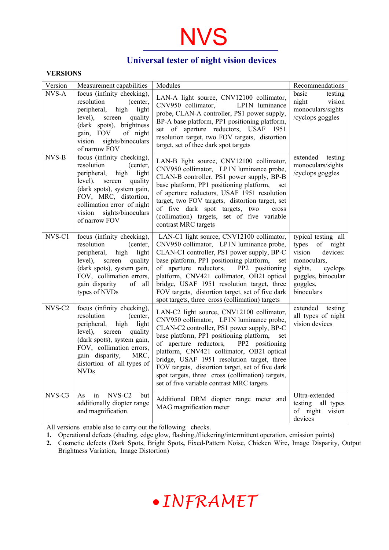### **Universal tester of night vision devices**

#### **VERSIONS**

| Version | Measurement capabilities                                                                                                                                                                                                                               | Modules                                                                                                                                                                                                                                                                                                                                                                                                                                                                          | Recommendations                                                                                                                                     |
|---------|--------------------------------------------------------------------------------------------------------------------------------------------------------------------------------------------------------------------------------------------------------|----------------------------------------------------------------------------------------------------------------------------------------------------------------------------------------------------------------------------------------------------------------------------------------------------------------------------------------------------------------------------------------------------------------------------------------------------------------------------------|-----------------------------------------------------------------------------------------------------------------------------------------------------|
| NVS-A   | focus (infinity checking),<br>resolution<br>(center,<br>peripheral, high light<br>level),<br>quality<br>screen<br>(dark spots), brightness<br>gain, FOV of night<br>vision sights/binoculars<br>of narrow FOV                                          | LAN-A light source, CNV12100 collimator,<br>CNV950 collimator,<br>LP1N luminance<br>probe, CLAN-A controller, PS1 power supply,<br>BP-A base platform, PP1 positioning platform,<br>set of aperture reductors, USAF 1951<br>resolution target, two FOV targets, distortion<br>target, set of thee dark spot targets                                                                                                                                                              | basic<br>testing<br>night<br>vision<br>monoculars/sights<br>/cyclops goggles                                                                        |
| NVS-B   | focus (infinity checking),<br>resolution<br>(center,<br>peripheral, high<br>light<br>level),<br>quality<br>screen<br>(dark spots), system gain,<br>FOV, MRC, distortion,<br>collimation error of night<br>sights/binoculars<br>vision<br>of narrow FOV | LAN-B light source, CNV12100 collimator,<br>CNV950 collimator, LP1N luminance probe,<br>CLAN-B controller, PS1 power supply, BP-B<br>base platform, PP1 positioning platform,<br>set<br>of aperture reductors, USAF 1951 resolution<br>target, two FOV targets, distortion target, set<br>of five dark spot targets, two<br>cross<br>(collimation) targets, set of five variable<br>contrast MRC targets                                                                         | extended testing<br>monoculars/sights<br>/cyclops goggles                                                                                           |
| NVS-C1  | focus (infinity checking),<br>resolution<br>(center,<br>peripheral, high light<br>level),<br>screen<br>quality<br>(dark spots), system gain,<br>FOV, collimation errors,<br>gain disparity<br>of all<br>types of NVDs                                  | LAN-C1 light source, CNV12100 collimator,<br>CNV950 collimator, LP1N luminance probe,<br>CLAN-C1 controller, PS1 power supply, BP-C<br>base platform, PP1 positioning platform,<br>set<br>of aperture reductors, PP2 positioning<br>platform, CNV421 collimator, OB21 optical<br>bridge, USAF 1951 resolution target, three<br>FOV targets, distortion target, set of five dark<br>spot targets, three cross (collimation) targets                                               | typical testing all<br>types<br>of night<br>vision<br>devices:<br>monoculars,<br>sights,<br>cyclops<br>goggles, binocular<br>goggles,<br>binoculars |
| NVS-C2  | focus (infinity checking),<br>resolution<br>(center,<br>peripheral,<br>high<br>light<br>screen<br>level),<br>quality<br>(dark spots), system gain,<br>FOV, collimation errors,<br>gain disparity,<br>MRC,<br>distortion of all types of<br><b>NVDs</b> | LAN-C2 light source, CNV12100 collimator,<br>CNV950 collimator, LP1N luminance probe,<br>CLAN-C2 controller, PS1 power supply, BP-C<br>base platform, PP1 positioning platform,<br>set<br>of aperture reductors, PP2 positioning<br>platform, CNV421 collimator, OB21 optical<br>bridge, USAF 1951 resolution target, three<br>FOV targets, distortion target, set of five dark<br>spot targets, three cross (collimation) targets,<br>set of five variable contrast MRC targets | extended testing<br>all types of night<br>vision devices                                                                                            |
| NVS-C3  | NVS-C <sub>2</sub><br>in<br>As<br>but<br>additionally diopter range<br>and magnification.                                                                                                                                                              | Additional DRM diopter range meter and<br>MAG magnification meter                                                                                                                                                                                                                                                                                                                                                                                                                | Ultra-extended<br>testing<br>all types<br>of night vision<br>devices                                                                                |

All versions enable also to carry out the following checks.

- **1.** Operational defects (shading, edge glow, flashing,/flickering/intermittent operation, emission points)
- **2.** Cosmetic defects (Dark Spots, Bright Spots**,** Fixed-Pattern Noise, Chicken Wire**,** Image Disparity, Output Brightness Variation, Image Distortion)